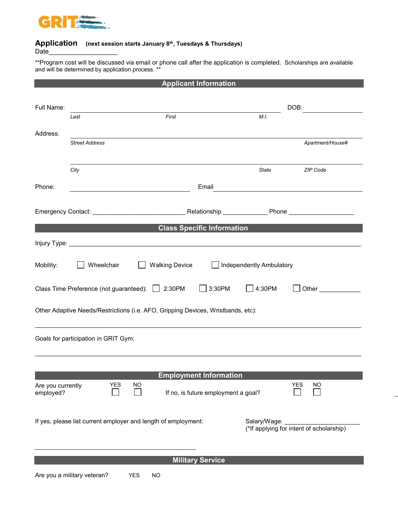

## **Application (next session starts January 8th, Tuesdays & Thursdays)**

Date

\*\*Program cost will be discussed via email or phone call after the application is completed. Scholarships are available and will be determined by application process. \*\*

| <b>Applicant Information</b>                                   |                                                                                  |                                                         |            |                       |                         |                                     |  |                                          |     |                                                                                                 |
|----------------------------------------------------------------|----------------------------------------------------------------------------------|---------------------------------------------------------|------------|-----------------------|-------------------------|-------------------------------------|--|------------------------------------------|-----|-------------------------------------------------------------------------------------------------|
|                                                                |                                                                                  |                                                         |            |                       |                         |                                     |  |                                          |     |                                                                                                 |
| Full Name:                                                     |                                                                                  |                                                         |            |                       |                         |                                     |  |                                          |     | DOB:                                                                                            |
|                                                                | Last                                                                             |                                                         |            | First                 |                         |                                     |  | M.I.                                     |     |                                                                                                 |
| Address:                                                       |                                                                                  |                                                         |            |                       |                         |                                     |  |                                          |     |                                                                                                 |
|                                                                | <b>Street Address</b>                                                            |                                                         |            |                       |                         |                                     |  |                                          |     | Apartment/House#                                                                                |
|                                                                |                                                                                  |                                                         |            |                       |                         |                                     |  |                                          |     |                                                                                                 |
|                                                                |                                                                                  |                                                         |            |                       |                         |                                     |  |                                          |     |                                                                                                 |
|                                                                | City                                                                             |                                                         |            |                       |                         |                                     |  | State                                    |     | ZIP Code                                                                                        |
| Phone:                                                         |                                                                                  | <u> 1980 - Johann Barnett, fransk politik (d. 1980)</u> |            |                       |                         | Email                               |  |                                          |     | the contract of the contract of the contract of the contract of the contract of the contract of |
|                                                                |                                                                                  |                                                         |            |                       |                         |                                     |  |                                          |     |                                                                                                 |
|                                                                |                                                                                  |                                                         |            |                       |                         |                                     |  |                                          |     |                                                                                                 |
|                                                                |                                                                                  |                                                         |            |                       |                         |                                     |  |                                          |     |                                                                                                 |
|                                                                |                                                                                  |                                                         |            |                       |                         | <b>Class Specific Information</b>   |  |                                          |     |                                                                                                 |
|                                                                |                                                                                  |                                                         |            |                       |                         |                                     |  |                                          |     |                                                                                                 |
|                                                                |                                                                                  |                                                         |            |                       |                         |                                     |  |                                          |     |                                                                                                 |
| Mobility:                                                      | Wheelchair                                                                       |                                                         |            | <b>Walking Device</b> |                         | Independently Ambulatory            |  |                                          |     |                                                                                                 |
|                                                                |                                                                                  |                                                         |            |                       |                         |                                     |  |                                          |     |                                                                                                 |
|                                                                | Class Time Preference (not guaranteed): 2:30PM                                   |                                                         |            |                       |                         | $\Box$ 3:30PM                       |  | $\Box$ 4:30PM                            |     | <b>Other Community</b>                                                                          |
|                                                                |                                                                                  |                                                         |            |                       |                         |                                     |  |                                          |     |                                                                                                 |
|                                                                | Other Adaptive Needs/Restrictions (i.e. AFO, Gripping Devices, Wristbands, etc): |                                                         |            |                       |                         |                                     |  |                                          |     |                                                                                                 |
|                                                                |                                                                                  |                                                         |            |                       |                         |                                     |  |                                          |     |                                                                                                 |
|                                                                | Goals for participation in GRIT Gym:                                             |                                                         |            |                       |                         |                                     |  |                                          |     |                                                                                                 |
|                                                                |                                                                                  |                                                         |            |                       |                         |                                     |  |                                          |     |                                                                                                 |
|                                                                |                                                                                  |                                                         |            |                       |                         |                                     |  |                                          |     |                                                                                                 |
|                                                                |                                                                                  |                                                         |            |                       |                         |                                     |  |                                          |     |                                                                                                 |
|                                                                |                                                                                  | <b>YES</b>                                              | NO         |                       |                         | <b>Employment Information</b>       |  |                                          | YES | <b>NO</b>                                                                                       |
| Are you currently<br>employed?                                 |                                                                                  |                                                         |            |                       |                         | If no, is future employment a goal? |  |                                          |     |                                                                                                 |
|                                                                |                                                                                  |                                                         |            |                       |                         |                                     |  |                                          |     |                                                                                                 |
|                                                                |                                                                                  |                                                         |            |                       |                         |                                     |  |                                          |     |                                                                                                 |
| If yes, please list current employer and length of employment: |                                                                                  |                                                         |            |                       |                         | Salary/Wage:                        |  | (*If applying for intent of scholarship) |     |                                                                                                 |
|                                                                |                                                                                  |                                                         |            |                       |                         |                                     |  |                                          |     |                                                                                                 |
|                                                                |                                                                                  |                                                         |            |                       |                         |                                     |  |                                          |     |                                                                                                 |
|                                                                |                                                                                  |                                                         |            |                       | <b>Military Service</b> |                                     |  |                                          |     |                                                                                                 |
|                                                                | Are you a military veteran?                                                      |                                                         | <b>YES</b> | <b>NO</b>             |                         |                                     |  |                                          |     |                                                                                                 |
|                                                                |                                                                                  |                                                         |            |                       |                         |                                     |  |                                          |     |                                                                                                 |